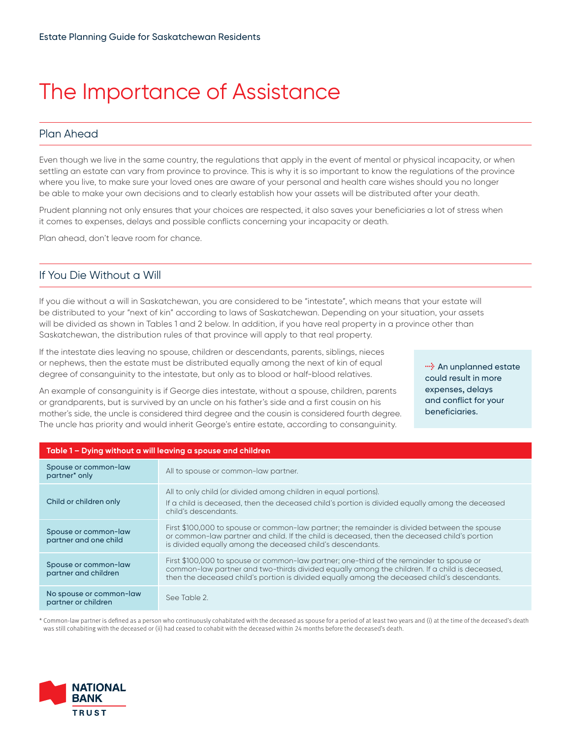# The Importance of Assistance

## Plan Ahead

Even though we live in the same country, the regulations that apply in the event of mental or physical incapacity, or when settling an estate can vary from province to province. This is why it is so important to know the regulations of the province where you live, to make sure your loved ones are aware of your personal and health care wishes should you no longer be able to make your own decisions and to clearly establish how your assets will be distributed after your death.

Prudent planning not only ensures that your choices are respected, it also saves your beneficiaries a lot of stress when it comes to expenses, delays and possible conflicts concerning your incapacity or death.

Plan ahead, don't leave room for chance.

#### If You Die Without a Will

If you die without a will in Saskatchewan, you are considered to be "intestate", which means that your estate will be distributed to your "next of kin" according to laws of Saskatchewan. Depending on your situation, your assets will be divided as shown in Tables 1 and 2 below. In addition, if you have real property in a province other than Saskatchewan, the distribution rules of that province will apply to that real property.

If the intestate dies leaving no spouse, children or descendants, parents, siblings, nieces or nephews, then the estate must be distributed equally among the next of kin of equal degree of consanguinity to the intestate, but only as to blood or half-blood relatives.

*l* An unplanned estate could result in more expenses, delays and conflict for your beneficiaries.

An example of consanguinity is if George dies intestate, without a spouse, children, parents or grandparents, but is survived by an uncle on his father's side and a first cousin on his mother's side, the uncle is considered third degree and the cousin is considered fourth degree. The uncle has priority and would inherit George's entire estate, according to consanguinity.

| Table 1 - Dying without a will leaving a spouse and children |                                                                                                                                                                                                                                                                                           |
|--------------------------------------------------------------|-------------------------------------------------------------------------------------------------------------------------------------------------------------------------------------------------------------------------------------------------------------------------------------------|
| Spouse or common-law<br>partner <sup>*</sup> only            | All to spouse or common-law partner.                                                                                                                                                                                                                                                      |
| Child or children only                                       | All to only child (or divided among children in equal portions).<br>If a child is deceased, then the deceased child's portion is divided equally among the deceased<br>child's descendants.                                                                                               |
| Spouse or common-law<br>partner and one child                | First \$100,000 to spouse or common-law partner; the remainder is divided between the spouse<br>or common-law partner and child. If the child is deceased, then the deceased child's portion<br>is divided equally among the deceased child's descendants.                                |
| Spouse or common-law<br>partner and children                 | First \$100,000 to spouse or common-law partner; one-third of the remainder to spouse or<br>common-law partner and two-thirds divided equally among the children. If a child is deceased,<br>then the deceased child's portion is divided equally among the deceased child's descendants. |
| No spouse or common-law<br>partner or children               | See Table 2.                                                                                                                                                                                                                                                                              |
|                                                              |                                                                                                                                                                                                                                                                                           |

\* Common-law partner is defined as a person who continuously cohabitated with the deceased as spouse for a period of at least two years and (i) at the time of the deceased's death was still cohabiting with the deceased or (ii) had ceased to cohabit with the deceased within 24 months before the deceased's death.

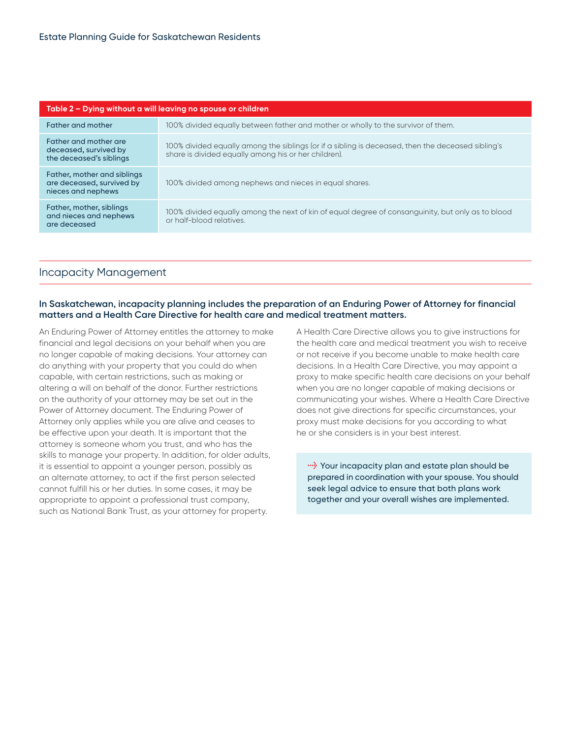| Table 2 – Dying without a will leaving no spouse or children                   |                                                                                                                                                           |
|--------------------------------------------------------------------------------|-----------------------------------------------------------------------------------------------------------------------------------------------------------|
| <b>Father and mother</b>                                                       | 100% divided equally between father and mother or wholly to the survivor of them.                                                                         |
| Father and mother are<br>deceased, survived by<br>the deceased's siblings      | 100% divided equally among the siblings (or if a sibling is deceased, then the deceased sibling's<br>share is divided equally among his or her children). |
| Father, mother and siblings<br>are deceased, survived by<br>nieces and nephews | 100% divided among nephews and nieces in equal shares.                                                                                                    |
| Father, mother, siblings<br>and nieces and nephews<br>are deceased             | 100% divided equally among the next of kin of equal degree of consanguinity, but only as to blood<br>or half-blood relatives.                             |

### Incapacity Management

#### **In Saskatchewan, incapacity planning includes the preparation of an Enduring Power of Attorney for financial matters and a Health Care Directive for health care and medical treatment matters.**

An Enduring Power of Attorney entitles the attorney to make financial and legal decisions on your behalf when you are no longer capable of making decisions. Your attorney can do anything with your property that you could do when capable, with certain restrictions, such as making or altering a will on behalf of the donor. Further restrictions on the authority of your attorney may be set out in the Power of Attorney document. The Enduring Power of Attorney only applies while you are alive and ceases to be effective upon your death. It is important that the attorney is someone whom you trust, and who has the skills to manage your property. In addition, for older adults, it is essential to appoint a younger person, possibly as an alternate attorney, to act if the first person selected cannot fulfill his or her duties. In some cases, it may be appropriate to appoint a professional trust company, such as National Bank Trust, as your attorney for property.

A Health Care Directive allows you to give instructions for the health care and medical treatment you wish to receive or not receive if you become unable to make health care decisions. In a Health Care Directive, you may appoint a proxy to make specific health care decisions on your behalf when you are no longer capable of making decisions or communicating your wishes. Where a Health Care Directive does not give directions for specific circumstances, your proxy must make decisions for you according to what he or she considers is in your best interest.

**lightly** Your incapacity plan and estate plan should be prepared in coordination with your spouse. You should seek legal advice to ensure that both plans work together and your overall wishes are implemented.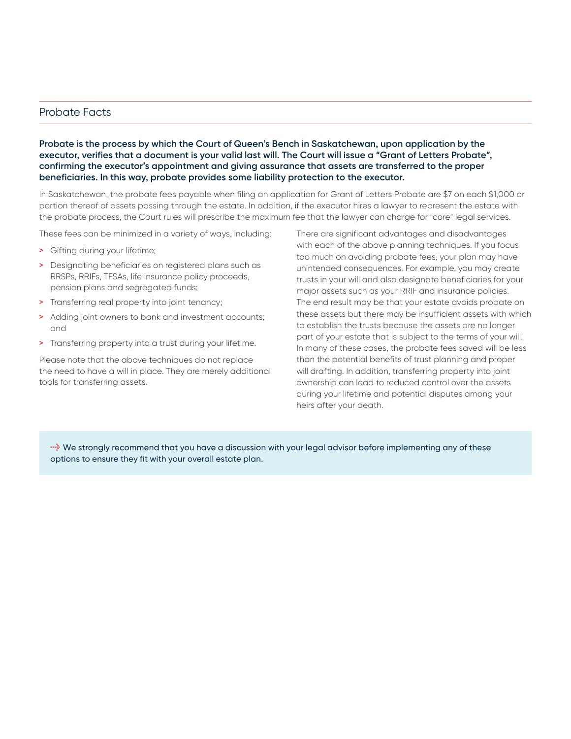#### Probate Facts

**Probate is the process by which the Court of Queen's Bench in Saskatchewan, upon application by the executor, verifies that a document is your valid last will. The Court will issue a "Grant of Letters Probate", confirming the executor's appointment and giving assurance that assets are transferred to the proper beneficiaries. In this way, probate provides some liability protection to the executor.**

In Saskatchewan, the probate fees payable when filing an application for Grant of Letters Probate are \$7 on each \$1,000 or portion thereof of assets passing through the estate. In addition, if the executor hires a lawyer to represent the estate with the probate process, the Court rules will prescribe the maximum fee that the lawyer can charge for "core" legal services.

These fees can be minimized in a variety of ways, including:

- > Gifting during your lifetime;
- > Designating beneficiaries on registered plans such as RRSPs, RRIFs, TFSAs, life insurance policy proceeds, pension plans and segregated funds;
- > Transferring real property into joint tenancy;
- > Adding joint owners to bank and investment accounts; and
- > Transferring property into a trust during your lifetime.

Please note that the above techniques do not replace the need to have a will in place. They are merely additional tools for transferring assets.

There are significant advantages and disadvantages with each of the above planning techniques. If you focus too much on avoiding probate fees, your plan may have unintended consequences. For example, you may create trusts in your will and also designate beneficiaries for your major assets such as your RRIF and insurance policies. The end result may be that your estate avoids probate on these assets but there may be insufficient assets with which to establish the trusts because the assets are no longer part of your estate that is subject to the terms of your will. In many of these cases, the probate fees saved will be less than the potential benefits of trust planning and proper will drafting. In addition, transferring property into joint ownership can lead to reduced control over the assets during your lifetime and potential disputes among your heirs after your death.

**l** we strongly recommend that you have a discussion with your legal advisor before implementing any of these options to ensure they fit with your overall estate plan.